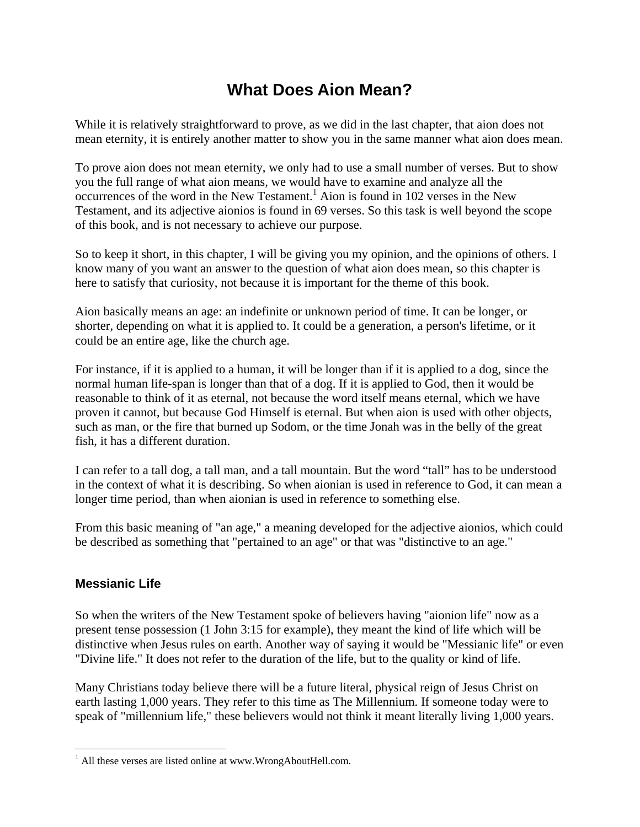# **What Does Aion Mean?**

While it is relatively straightforward to prove, as we did in the last chapter, that aion does not mean eternity, it is entirely another matter to show you in the same manner what aion does mean.

To prove aion does not mean eternity, we only had to use a small number of verses. But to show you the full range of what aion means, we would have to examine and analyze all the  $\alpha$  occurrences of the word in the New Testament.<sup>1</sup> Aion is found in 102 verses in the New Testament, and its adjective aionios is found in 69 verses. So this task is well beyond the scope of this book, and is not necessary to achieve our purpose.

So to keep it short, in this chapter, I will be giving you my opinion, and the opinions of others. I know many of you want an answer to the question of what aion does mean, so this chapter is here to satisfy that curiosity, not because it is important for the theme of this book.

Aion basically means an age: an indefinite or unknown period of time. It can be longer, or shorter, depending on what it is applied to. It could be a generation, a person's lifetime, or it could be an entire age, like the church age.

For instance, if it is applied to a human, it will be longer than if it is applied to a dog, since the normal human life-span is longer than that of a dog. If it is applied to God, then it would be reasonable to think of it as eternal, not because the word itself means eternal, which we have proven it cannot, but because God Himself is eternal. But when aion is used with other objects, such as man, or the fire that burned up Sodom, or the time Jonah was in the belly of the great fish, it has a different duration.

I can refer to a tall dog, a tall man, and a tall mountain. But the word "tall" has to be understood in the context of what it is describing. So when aionian is used in reference to God, it can mean a longer time period, than when aionian is used in reference to something else.

From this basic meaning of "an age," a meaning developed for the adjective aionios, which could be described as something that "pertained to an age" or that was "distinctive to an age."

## **Messianic Life**

 $\overline{a}$ 

So when the writers of the New Testament spoke of believers having "aionion life" now as a present tense possession (1 John 3:15 for example), they meant the kind of life which will be distinctive when Jesus rules on earth. Another way of saying it would be "Messianic life" or even "Divine life." It does not refer to the duration of the life, but to the quality or kind of life.

Many Christians today believe there will be a future literal, physical reign of Jesus Christ on earth lasting 1,000 years. They refer to this time as The Millennium. If someone today were to speak of "millennium life," these believers would not think it meant literally living 1,000 years.

<sup>&</sup>lt;sup>1</sup> All these verses are listed online at www.WrongAboutHell.com.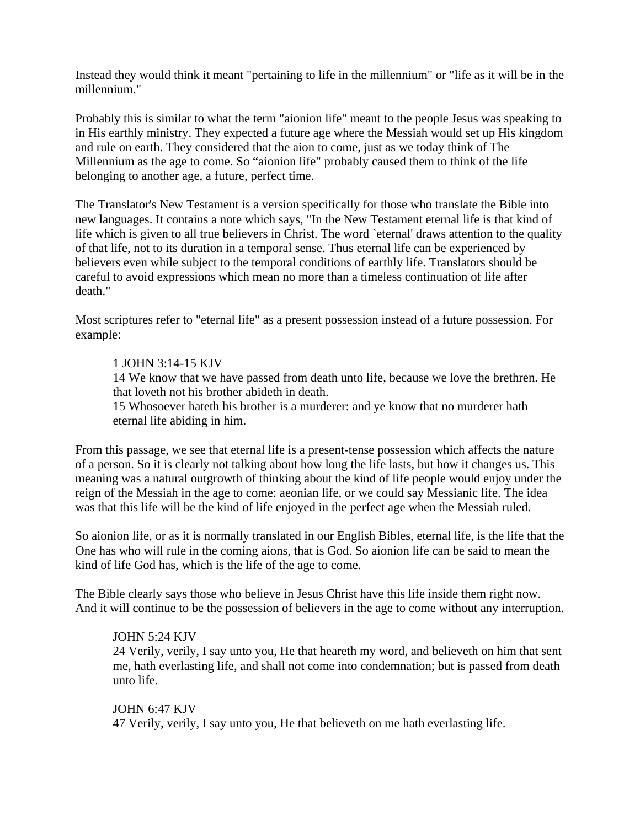Instead they would think it meant "pertaining to life in the millennium" or "life as it will be in the millennium."

Probably this is similar to what the term "aionion life" meant to the people Jesus was speaking to in His earthly ministry. They expected a future age where the Messiah would set up His kingdom and rule on earth. They considered that the aion to come, just as we today think of The Millennium as the age to come. So "aionion life" probably caused them to think of the life belonging to another age, a future, perfect time.

The Translator's New Testament is a version specifically for those who translate the Bible into new languages. It contains a note which says, "In the New Testament eternal life is that kind of life which is given to all true believers in Christ. The word 'eternal' draws attention to the quality of that life, not to its duration in a temporal sense. Thus eternal life can be experienced by believers even while subject to the temporal conditions of earthly life. Translators should be careful to avoid expressions which mean no more than a timeless continuation of life after death."

Most scriptures refer to "eternal life" as a present possession instead of a future possession. For example:

### 1 JOHN 3:14-15 KJV

14 We know that we have passed from death unto life, because we love the brethren. He that loveth not his brother abideth in death.

15 Whosoever hateth his brother is a murderer: and ye know that no murderer hath eternal life abiding in him.

From this passage, we see that eternal life is a present-tense possession which affects the nature of a person. So it is clearly not talking about how long the life lasts, but how it changes us. This meaning was a natural outgrowth of thinking about the kind of life people would enjoy under the reign of the Messiah in the age to come: aeonian life, or we could say Messianic life. The idea was that this life will be the kind of life enjoyed in the perfect age when the Messiah ruled.

So aionion life, or as it is normally translated in our English Bibles, eternal life, is the life that the One has who will rule in the coming aions, that is God. So aionion life can be said to mean the kind of life God has, which is the life of the age to come.

The Bible clearly says those who believe in Jesus Christ have this life inside them right now. And it will continue to be the possession of believers in the age to come without any interruption.

#### JOHN 5:24 KJV

24 Verily, verily, I say unto you, He that heareth my word, and believeth on him that sent me, hath everlasting life, and shall not come into condemnation; but is passed from death unto life.

## JOHN 6:47 KJV 47 Verily, verily, I say unto you, He that believeth on me hath everlasting life.